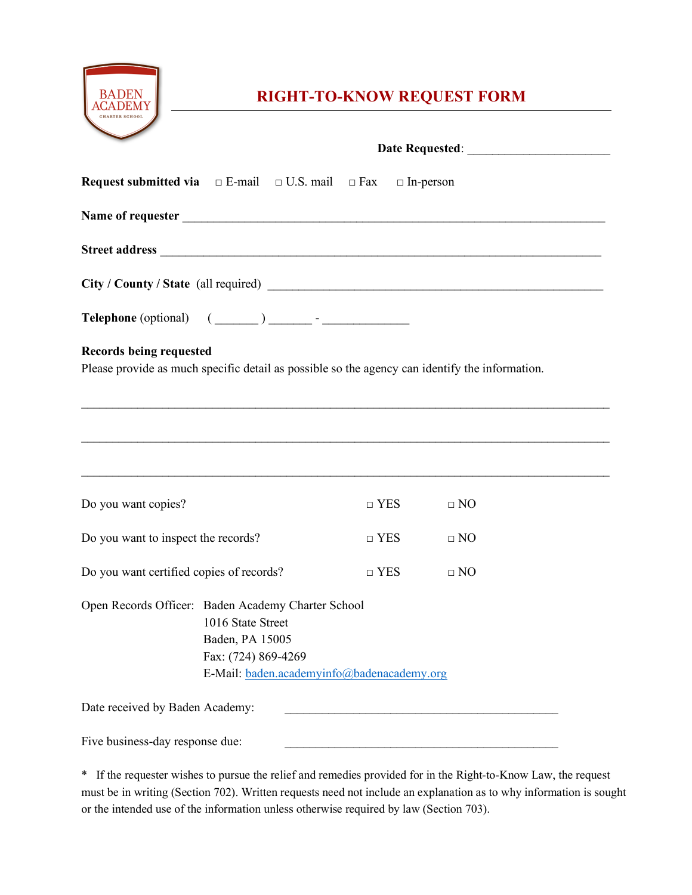

## **RIGHT-TO-KNOW REQUEST FORM**

|                                                                                                         | <b>Request submitted via</b> $\Box$ E-mail $\Box$ U.S. mail $\Box$ Fax $\Box$ In-person                                                                                                                                                                                                                                                                                                                                                                                                                                                                                                                                                  |                                                                                                                                                                                                                                      |           |  |
|---------------------------------------------------------------------------------------------------------|------------------------------------------------------------------------------------------------------------------------------------------------------------------------------------------------------------------------------------------------------------------------------------------------------------------------------------------------------------------------------------------------------------------------------------------------------------------------------------------------------------------------------------------------------------------------------------------------------------------------------------------|--------------------------------------------------------------------------------------------------------------------------------------------------------------------------------------------------------------------------------------|-----------|--|
|                                                                                                         |                                                                                                                                                                                                                                                                                                                                                                                                                                                                                                                                                                                                                                          |                                                                                                                                                                                                                                      |           |  |
|                                                                                                         |                                                                                                                                                                                                                                                                                                                                                                                                                                                                                                                                                                                                                                          |                                                                                                                                                                                                                                      |           |  |
|                                                                                                         |                                                                                                                                                                                                                                                                                                                                                                                                                                                                                                                                                                                                                                          |                                                                                                                                                                                                                                      |           |  |
|                                                                                                         | $\textbf{Telephone (optional)} \quad (\underline{\hspace{1cm}}) \underline{\hspace{1cm}} \underline{\hspace{1cm}} \underline{\hspace{1cm}} \underline{\hspace{1cm}} \underline{\hspace{1cm}} \underline{\hspace{1cm}} \underline{\hspace{1cm}} \underline{\hspace{1cm}} \underline{\hspace{1cm}} \underline{\hspace{1cm}} \underline{\hspace{1cm}} \underline{\hspace{1cm}} \underline{\hspace{1cm}} \underline{\hspace{1cm}} \underline{\hspace{1cm}} \underline{\hspace{1cm}} \underline{\hspace{1cm}} \underline{\hspace{1cm}} \underline{\hspace{1cm}} \underline{\hspace{1cm}} \underline{\hspace{1cm}} \underline{\hspace{1cm}} \$ |                                                                                                                                                                                                                                      |           |  |
| <b>Records being requested</b>                                                                          | Please provide as much specific detail as possible so the agency can identify the information.                                                                                                                                                                                                                                                                                                                                                                                                                                                                                                                                           |                                                                                                                                                                                                                                      |           |  |
|                                                                                                         |                                                                                                                                                                                                                                                                                                                                                                                                                                                                                                                                                                                                                                          |                                                                                                                                                                                                                                      |           |  |
|                                                                                                         |                                                                                                                                                                                                                                                                                                                                                                                                                                                                                                                                                                                                                                          |                                                                                                                                                                                                                                      |           |  |
| ,我们也不会有什么。""我们的人,我们也不会有什么?""我们的人,我们也不会有什么?""我们的人,我们也不会有什么?""我们的人,我们也不会有什么?""我们的人<br>Do you want copies? |                                                                                                                                                                                                                                                                                                                                                                                                                                                                                                                                                                                                                                          | $\Box$ YES                                                                                                                                                                                                                           | $\Box$ NO |  |
| Do you want to inspect the records?                                                                     |                                                                                                                                                                                                                                                                                                                                                                                                                                                                                                                                                                                                                                          | $\Box$ YES                                                                                                                                                                                                                           | $\Box$ NO |  |
| Do you want certified copies of records?                                                                |                                                                                                                                                                                                                                                                                                                                                                                                                                                                                                                                                                                                                                          | $\Box$ YES                                                                                                                                                                                                                           | $\Box$ NO |  |
|                                                                                                         | Open Records Officer: Baden Academy Charter School<br>1016 State Street<br>Baden, PA 15005<br>Fax: (724) 869-4269<br>E-Mail: baden.academyinfo@badenacademy.org                                                                                                                                                                                                                                                                                                                                                                                                                                                                          |                                                                                                                                                                                                                                      |           |  |
| Date received by Baden Academy:                                                                         |                                                                                                                                                                                                                                                                                                                                                                                                                                                                                                                                                                                                                                          | <u>and the state of the state of the state of the state of the state of the state of the state of the state of the state of the state of the state of the state of the state of the state of the state of the state of the state</u> |           |  |
| Five business-day response due:                                                                         |                                                                                                                                                                                                                                                                                                                                                                                                                                                                                                                                                                                                                                          |                                                                                                                                                                                                                                      |           |  |

\* If the requester wishes to pursue the relief and remedies provided for in the Right-to-Know Law, the request must be in writing (Section 702). Written requests need not include an explanation as to why information is sought or the intended use of the information unless otherwise required by law (Section 703).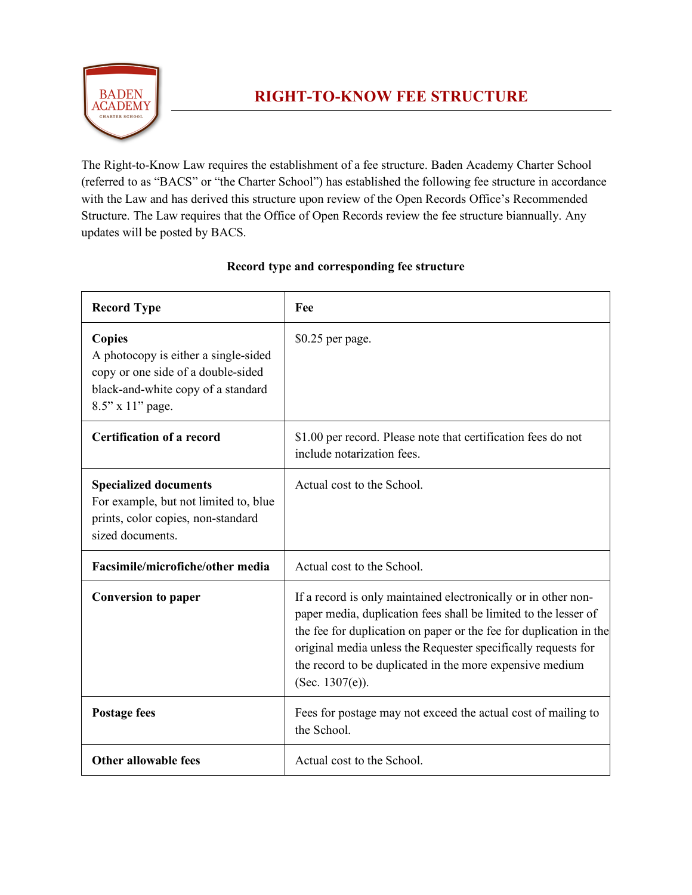

The Right-to-Know Law requires the establishment of a fee structure. Baden Academy Charter School (referred to as "BACS" or "the Charter School") has established the following fee structure in accordance with the Law and has derived this structure upon review of the Open Records Office's Recommended Structure. The Law requires that the Office of Open Records review the fee structure biannually. Any updates will be posted by BACS.

|  | Record type and corresponding fee structure |
|--|---------------------------------------------|
|--|---------------------------------------------|

| <b>Record Type</b>                                                                                                                                    | Fee                                                                                                                                                                                                                                                                                                                                                        |  |  |
|-------------------------------------------------------------------------------------------------------------------------------------------------------|------------------------------------------------------------------------------------------------------------------------------------------------------------------------------------------------------------------------------------------------------------------------------------------------------------------------------------------------------------|--|--|
| <b>Copies</b><br>A photocopy is either a single-sided<br>copy or one side of a double-sided<br>black-and-white copy of a standard<br>8.5" x 11" page. | $$0.25$ per page.                                                                                                                                                                                                                                                                                                                                          |  |  |
| <b>Certification of a record</b>                                                                                                                      | \$1.00 per record. Please note that certification fees do not<br>include notarization fees.                                                                                                                                                                                                                                                                |  |  |
| <b>Specialized documents</b><br>For example, but not limited to, blue<br>prints, color copies, non-standard<br>sized documents.                       | Actual cost to the School.                                                                                                                                                                                                                                                                                                                                 |  |  |
| Facsimile/microfiche/other media                                                                                                                      | Actual cost to the School.                                                                                                                                                                                                                                                                                                                                 |  |  |
| <b>Conversion to paper</b>                                                                                                                            | If a record is only maintained electronically or in other non-<br>paper media, duplication fees shall be limited to the lesser of<br>the fee for duplication on paper or the fee for duplication in the<br>original media unless the Requester specifically requests for<br>the record to be duplicated in the more expensive medium<br>(Sec. $1307(e)$ ). |  |  |
| <b>Postage fees</b>                                                                                                                                   | Fees for postage may not exceed the actual cost of mailing to<br>the School.                                                                                                                                                                                                                                                                               |  |  |
| <b>Other allowable fees</b>                                                                                                                           | Actual cost to the School.                                                                                                                                                                                                                                                                                                                                 |  |  |